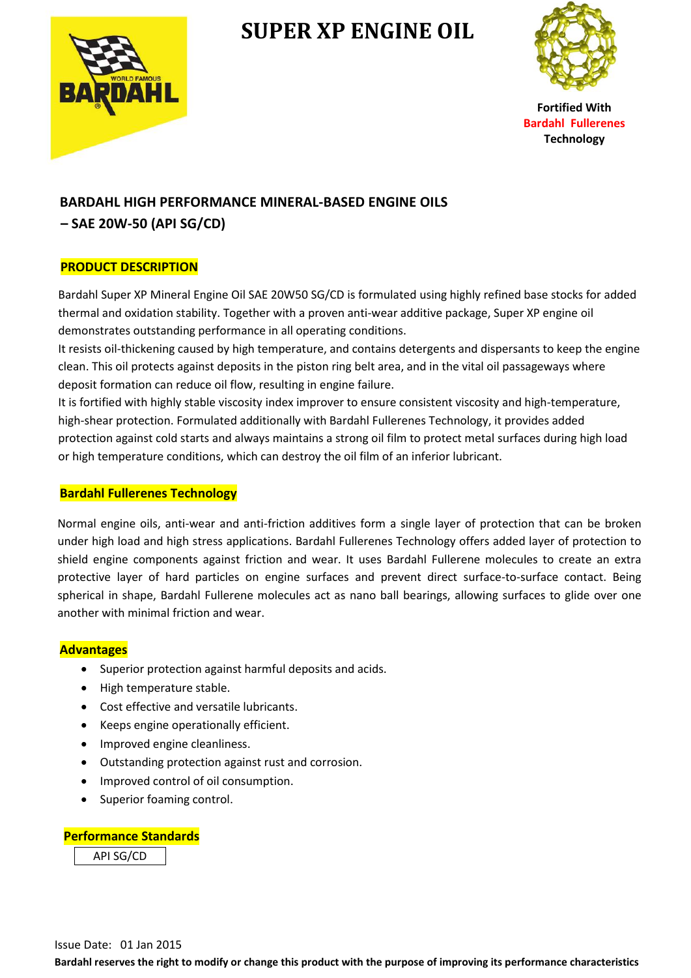

## **SUPER XP ENGINE OIL**



**Fortified With Bardahl Fullerenes Technology**

# **BARDAHL HIGH PERFORMANCE MINERAL-BASED ENGINE OILS**

 **– SAE 20W-50 (API SG/CD)**

### **PRODUCT DESCRIPTION**

Bardahl Super XP Mineral Engine Oil SAE 20W50 SG/CD is formulated using highly refined base stocks for added thermal and oxidation stability. Together with a proven anti-wear additive package, Super XP engine oil demonstrates outstanding performance in all operating conditions.

It resists oil-thickening caused by high temperature, and contains detergents and dispersants to keep the engine clean. This oil protects against deposits in the piston ring belt area, and in the vital oil passageways where deposit formation can reduce oil flow, resulting in engine failure.

It is fortified with highly stable viscosity index improver to ensure consistent viscosity and high-temperature, high-shear protection. Formulated additionally with Bardahl Fullerenes Technology, it provides added protection against cold starts and always maintains a strong oil film to protect metal surfaces during high load or high temperature conditions, which can destroy the oil film of an inferior lubricant.

#### **Bardahl Fullerenes Technology**

Normal engine oils, anti-wear and anti-friction additives form a single layer of protection that can be broken under high load and high stress applications. Bardahl Fullerenes Technology offers added layer of protection to shield engine components against friction and wear. It uses Bardahl Fullerene molecules to create an extra protective layer of hard particles on engine surfaces and prevent direct surface-to-surface contact. Being spherical in shape, Bardahl Fullerene molecules act as nano ball bearings, allowing surfaces to glide over one another with minimal friction and wear.

#### **Advantages**

- Superior protection against harmful deposits and acids.
- High temperature stable.
- Cost effective and versatile lubricants.
- Keeps engine operationally efficient.
- Improved engine cleanliness.
- Outstanding protection against rust and corrosion.
- Improved control of oil consumption.
- Superior foaming control.

#### **Performance Standards**

API SG/CD